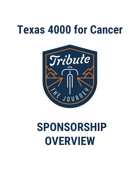### **Texas 4000 for Cancer**



# **SPONSORSHIP OVERVIEW**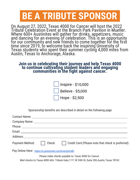#### **BE A TRIBUTE SPONSOR.**

On August 27, 2022, Texas 4000 for Cancer will host the 2022 Tribute Celebration Event at the Branch Park Pavilion in Mueller. Where 600+ Austinites will gather for drinks, appetizers, music and dancing for an evening of celebration. This is an opportunity for our community and new friends to come together for the first time since 2019, to welcome back the inspiring University of Texas students who spent their summer cycling 4,000 miles from Austin, Texas to Anchorage, Alaska.

#### **Join us in celebrating their journey and help Texas 4000 to continue cultivating student leaders and engaging communities in the fight against cancer.**

| $\vert$   Inspire - \$10,000 |
|------------------------------|
| <b>Believe - \$5,000</b>     |
| Hope - \$2,500               |

Sponsorship benefits are described in detail on the following page

| <b>Payment Method:</b> | Check | Credit Card (Please note that check is preferred) |  |
|------------------------|-------|---------------------------------------------------|--|
|                        |       |                                                   |  |

Pay Online Here: <https://e.givesmart.com/events/m8I/>

Please make checks payable to: Texas 4000 for Cancer.

Mail checks to: Texas 4000 Attn: Tribute Gala, 1111 W 24th St, Suite 200, Austin, Texas 78762